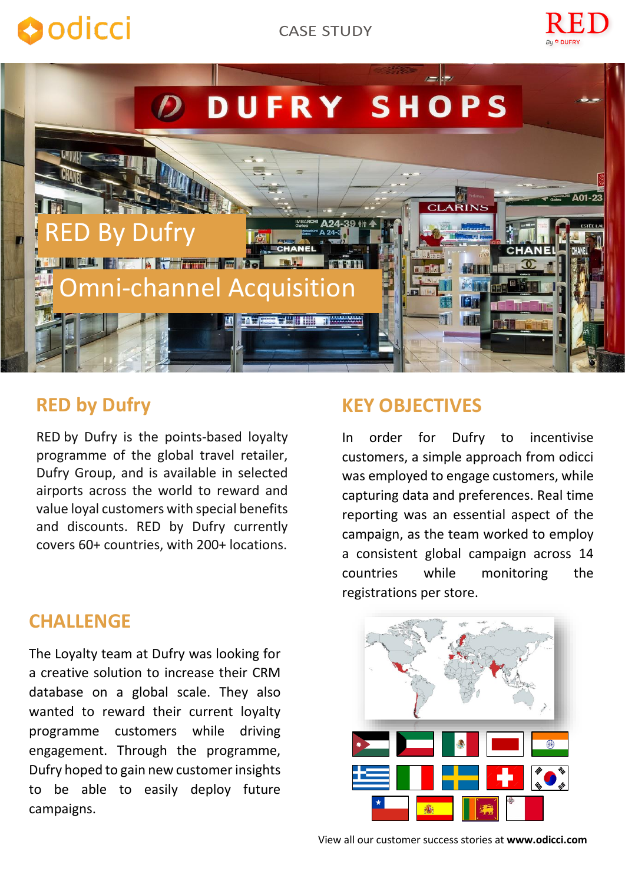# **O**odicci





# **RED by Dufry**

RED by Dufry is the points-based loyalty programme of the global travel retailer, Dufry Group, and is available in selected airports across the world to reward and value loyal customers with special benefits and discounts. RED by Dufry currently covers 60+ countries, with 200+ locations.

## **CHALLENGE**

The Loyalty team at Dufry was looking for a creative solution to increase their CRM database on a global scale. They also wanted to reward their current loyalty programme customers while driving engagement. Through the programme, Dufry hoped to gain new customer insights to be able to easily deploy future campaigns.

## **KEY OBJECTIVES**

In order for Dufry to incentivise customers, a simple approach from odicci was employed to engage customers, while capturing data and preferences. Real time reporting was an essential aspect of the campaign, as the team worked to employ a consistent global campaign across 14 countries while monitoring the registrations per store.